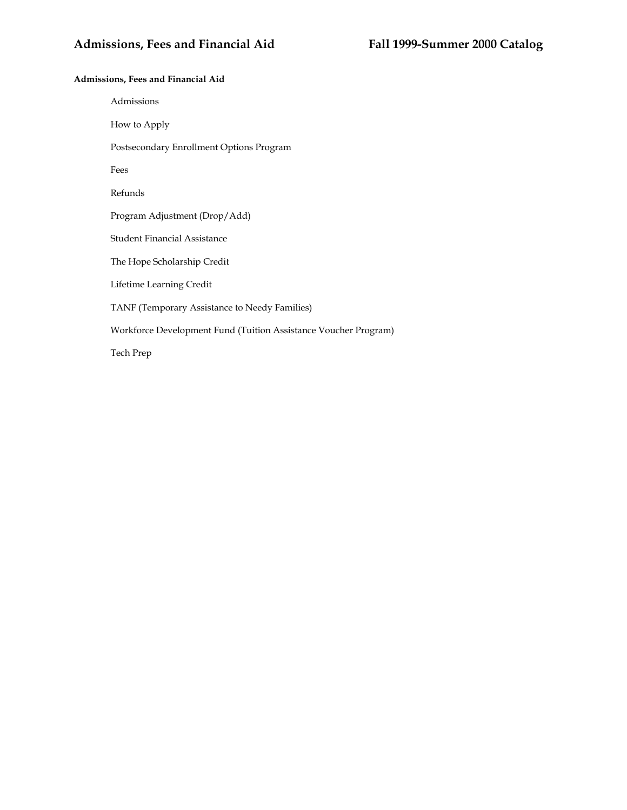# **Admissions, Fees and Financial Aid**

Admissions How to Apply Postsecondary Enrollment Options Program Fees Refunds Program Adjustment (Drop/Add) Student Financial Assistance The Hope Scholarship Credit Lifetime Learning Credit TANF (Temporary Assistance to Needy Families) Workforce Development Fund (Tuition Assistance Voucher Program) Tech Prep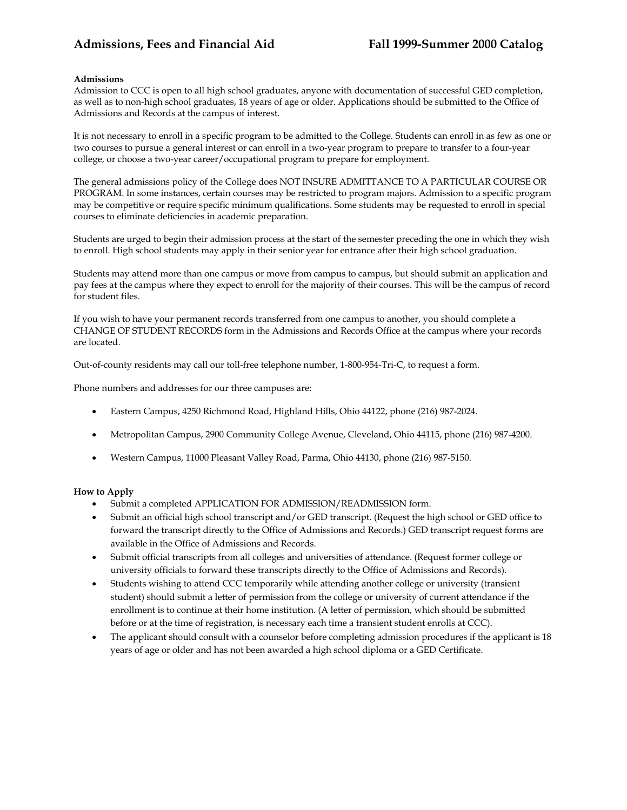## **Admissions**

Admission to CCC is open to all high school graduates, anyone with documentation of successful GED completion, as well as to non-high school graduates, 18 years of age or older. Applications should be submitted to the Office of Admissions and Records at the campus of interest.

It is not necessary to enroll in a specific program to be admitted to the College. Students can enroll in as few as one or two courses to pursue a general interest or can enroll in a two-year program to prepare to transfer to a four-year college, or choose a two-year career/occupational program to prepare for employment.

The general admissions policy of the College does NOT INSURE ADMITTANCE TO A PARTICULAR COURSE OR PROGRAM. In some instances, certain courses may be restricted to program majors. Admission to a specific program may be competitive or require specific minimum qualifications. Some students may be requested to enroll in special courses to eliminate deficiencies in academic preparation.

Students are urged to begin their admission process at the start of the semester preceding the one in which they wish to enroll. High school students may apply in their senior year for entrance after their high school graduation.

Students may attend more than one campus or move from campus to campus, but should submit an application and pay fees at the campus where they expect to enroll for the majority of their courses. This will be the campus of record for student files.

If you wish to have your permanent records transferred from one campus to another, you should complete a CHANGE OF STUDENT RECORDS form in the Admissions and Records Office at the campus where your records are located.

Out-of-county residents may call our toll-free telephone number, 1-800-954-Tri-C, to request a form.

Phone numbers and addresses for our three campuses are:

- Eastern Campus, 4250 Richmond Road, Highland Hills, Ohio 44122, phone (216) 987-2024.
- Metropolitan Campus, 2900 Community College Avenue, Cleveland, Ohio 44115, phone (216) 987-4200.
- Western Campus, 11000 Pleasant Valley Road, Parma, Ohio 44130, phone (216) 987-5150.

### **How to Apply**

- Submit a completed APPLICATION FOR ADMISSION/READMISSION form.
- Submit an official high school transcript and/or GED transcript. (Request the high school or GED office to forward the transcript directly to the Office of Admissions and Records.) GED transcript request forms are available in the Office of Admissions and Records.
- Submit official transcripts from all colleges and universities of attendance. (Request former college or university officials to forward these transcripts directly to the Office of Admissions and Records).
- Students wishing to attend CCC temporarily while attending another college or university (transient student) should submit a letter of permission from the college or university of current attendance if the enrollment is to continue at their home institution. (A letter of permission, which should be submitted before or at the time of registration, is necessary each time a transient student enrolls at CCC).
- The applicant should consult with a counselor before completing admission procedures if the applicant is 18 years of age or older and has not been awarded a high school diploma or a GED Certificate.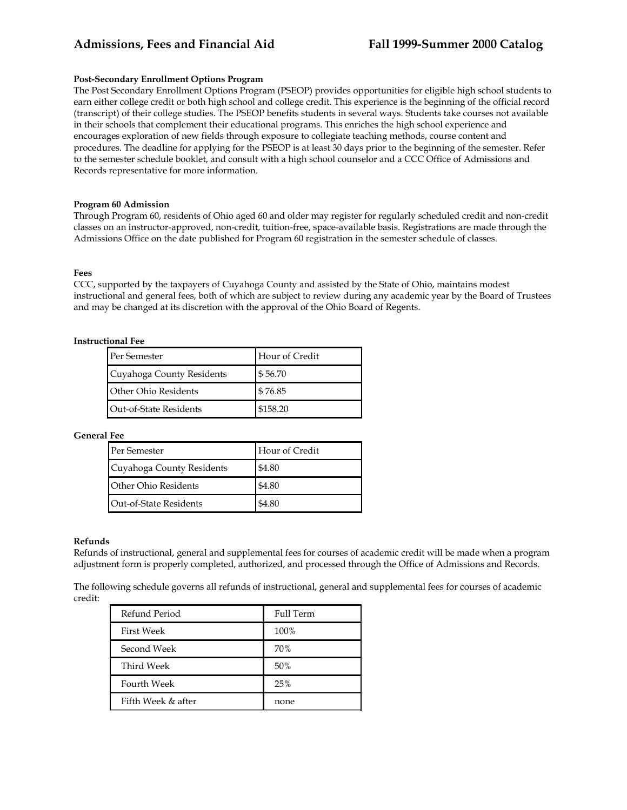### **Post-Secondary Enrollment Options Program**

The Post Secondary Enrollment Options Program (PSEOP) provides opportunities for eligible high school students to earn either college credit or both high school and college credit. This experience is the beginning of the official record (transcript) of their college studies. The PSEOP benefits students in several ways. Students take courses not available in their schools that complement their educational programs. This enriches the high school experience and encourages exploration of new fields through exposure to collegiate teaching methods, course content and procedures. The deadline for applying for the PSEOP is at least 30 days prior to the beginning of the semester. Refer to the semester schedule booklet, and consult with a high school counselor and a CCC Office of Admissions and Records representative for more information.

#### **Program 60 Admission**

Through Program 60, residents of Ohio aged 60 and older may register for regularly scheduled credit and non-credit classes on an instructor-approved, non-credit, tuition-free, space-available basis. Registrations are made through the Admissions Office on the date published for Program 60 registration in the semester schedule of classes.

#### **Fees**

CCC, supported by the taxpayers of Cuyahoga County and assisted by the State of Ohio, maintains modest instructional and general fees, both of which are subject to review during any academic year by the Board of Trustees and may be changed at its discretion with the approval of the Ohio Board of Regents.

### **Instructional Fee**

| Per Semester              | Hour of Credit |
|---------------------------|----------------|
| Cuyahoga County Residents | \$56.70        |
| Other Ohio Residents      | \$76.85        |
| Out-of-State Residents    | \$158.20       |

### **General Fee**

| Per Semester                | Hour of Credit |
|-----------------------------|----------------|
| Cuyahoga County Residents   | \$4.80         |
| <b>Other Ohio Residents</b> | \$4.80         |
| Out-of-State Residents      | \$4.80         |

#### **Refunds**

Refunds of instructional, general and supplemental fees for courses of academic credit will be made when a program adjustment form is properly completed, authorized, and processed through the Office of Admissions and Records.

The following schedule governs all refunds of instructional, general and supplemental fees for courses of academic credit:

| <b>Refund Period</b> | <b>Full Term</b> |
|----------------------|------------------|
| <b>First Week</b>    | 100%             |
| Second Week          | 70%              |
| Third Week           | 50%              |
| <b>Fourth Week</b>   | 25%              |
| Fifth Week & after   | none             |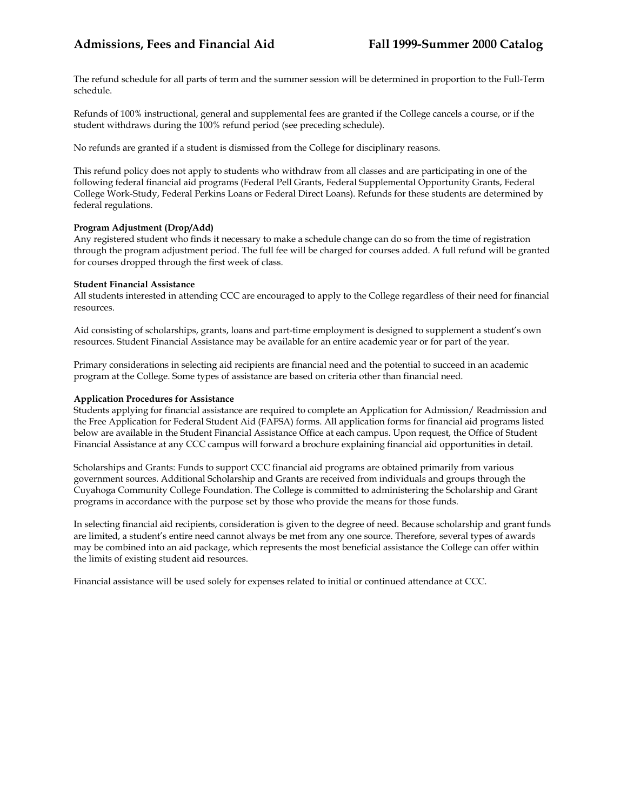The refund schedule for all parts of term and the summer session will be determined in proportion to the Full-Term schedule.

Refunds of 100% instructional, general and supplemental fees are granted if the College cancels a course, or if the student withdraws during the 100% refund period (see preceding schedule).

No refunds are granted if a student is dismissed from the College for disciplinary reasons.

This refund policy does not apply to students who withdraw from all classes and are participating in one of the following federal financial aid programs (Federal Pell Grants, Federal Supplemental Opportunity Grants, Federal College Work-Study, Federal Perkins Loans or Federal Direct Loans). Refunds for these students are determined by federal regulations.

# **Program Adjustment (Drop/Add)**

Any registered student who finds it necessary to make a schedule change can do so from the time of registration through the program adjustment period. The full fee will be charged for courses added. A full refund will be granted for courses dropped through the first week of class.

# **Student Financial Assistance**

All students interested in attending CCC are encouraged to apply to the College regardless of their need for financial resources.

Aid consisting of scholarships, grants, loans and part-time employment is designed to supplement a student's own resources. Student Financial Assistance may be available for an entire academic year or for part of the year.

Primary considerations in selecting aid recipients are financial need and the potential to succeed in an academic program at the College. Some types of assistance are based on criteria other than financial need.

# **Application Procedures for Assistance**

Students applying for financial assistance are required to complete an Application for Admission/ Readmission and the Free Application for Federal Student Aid (FAFSA) forms. All application forms for financial aid programs listed below are available in the Student Financial Assistance Office at each campus. Upon request, the Office of Student Financial Assistance at any CCC campus will forward a brochure explaining financial aid opportunities in detail.

Scholarships and Grants: Funds to support CCC financial aid programs are obtained primarily from various government sources. Additional Scholarship and Grants are received from individuals and groups through the Cuyahoga Community College Foundation. The College is committed to administering the Scholarship and Grant programs in accordance with the purpose set by those who provide the means for those funds.

In selecting financial aid recipients, consideration is given to the degree of need. Because scholarship and grant funds are limited, a student's entire need cannot always be met from any one source. Therefore, several types of awards may be combined into an aid package, which represents the most beneficial assistance the College can offer within the limits of existing student aid resources.

Financial assistance will be used solely for expenses related to initial or continued attendance at CCC.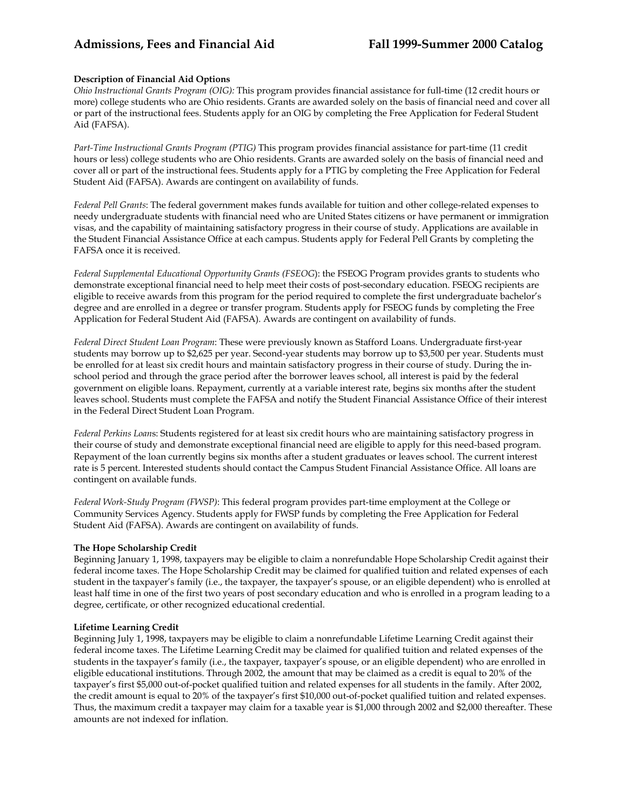# **Description of Financial Aid Options**

*Ohio Instructional Grants Program (OIG):* This program provides financial assistance for full-time (12 credit hours or more) college students who are Ohio residents. Grants are awarded solely on the basis of financial need and cover all or part of the instructional fees. Students apply for an OIG by completing the Free Application for Federal Student Aid (FAFSA).

*Part-Time Instructional Grants Program (PTIG)* This program provides financial assistance for part-time (11 credit hours or less) college students who are Ohio residents. Grants are awarded solely on the basis of financial need and cover all or part of the instructional fees. Students apply for a PTIG by completing the Free Application for Federal Student Aid (FAFSA). Awards are contingent on availability of funds.

*Federal Pell Grants*: The federal government makes funds available for tuition and other college-related expenses to needy undergraduate students with financial need who are United States citizens or have permanent or immigration visas, and the capability of maintaining satisfactory progress in their course of study. Applications are available in the Student Financial Assistance Office at each campus. Students apply for Federal Pell Grants by completing the FAFSA once it is received.

*Federal Supplemental Educational Opportunity Grants (FSEOG*): the FSEOG Program provides grants to students who demonstrate exceptional financial need to help meet their costs of post-secondary education. FSEOG recipients are eligible to receive awards from this program for the period required to complete the first undergraduate bachelor's degree and are enrolled in a degree or transfer program. Students apply for FSEOG funds by completing the Free Application for Federal Student Aid (FAFSA). Awards are contingent on availability of funds.

*Federal Direct Student Loan Program*: These were previously known as Stafford Loans. Undergraduate first-year students may borrow up to \$2,625 per year. Second-year students may borrow up to \$3,500 per year. Students must be enrolled for at least six credit hours and maintain satisfactory progress in their course of study. During the inschool period and through the grace period after the borrower leaves school, all interest is paid by the federal government on eligible loans. Repayment, currently at a variable interest rate, begins six months after the student leaves school. Students must complete the FAFSA and notify the Student Financial Assistance Office of their interest in the Federal Direct Student Loan Program.

*Federal Perkins Loan*s: Students registered for at least six credit hours who are maintaining satisfactory progress in their course of study and demonstrate exceptional financial need are eligible to apply for this need-based program. Repayment of the loan currently begins six months after a student graduates or leaves school. The current interest rate is 5 percent. Interested students should contact the Campus Student Financial Assistance Office. All loans are contingent on available funds.

*Federal Work-Study Program (FWSP)*: This federal program provides part-time employment at the College or Community Services Agency. Students apply for FWSP funds by completing the Free Application for Federal Student Aid (FAFSA). Awards are contingent on availability of funds.

### **The Hope Scholarship Credit**

Beginning January 1, 1998, taxpayers may be eligible to claim a nonrefundable Hope Scholarship Credit against their federal income taxes. The Hope Scholarship Credit may be claimed for qualified tuition and related expenses of each student in the taxpayer's family (i.e., the taxpayer, the taxpayer's spouse, or an eligible dependent) who is enrolled at least half time in one of the first two years of post secondary education and who is enrolled in a program leading to a degree, certificate, or other recognized educational credential.

### **Lifetime Learning Credit**

Beginning July 1, 1998, taxpayers may be eligible to claim a nonrefundable Lifetime Learning Credit against their federal income taxes. The Lifetime Learning Credit may be claimed for qualified tuition and related expenses of the students in the taxpayer's family (i.e., the taxpayer, taxpayer's spouse, or an eligible dependent) who are enrolled in eligible educational institutions. Through 2002, the amount that may be claimed as a credit is equal to 20% of the taxpayer's first \$5,000 out-of-pocket qualified tuition and related expenses for all students in the family. After 2002, the credit amount is equal to 20% of the taxpayer's first \$10,000 out-of-pocket qualified tuition and related expenses. Thus, the maximum credit a taxpayer may claim for a taxable year is \$1,000 through 2002 and \$2,000 thereafter. These amounts are not indexed for inflation.